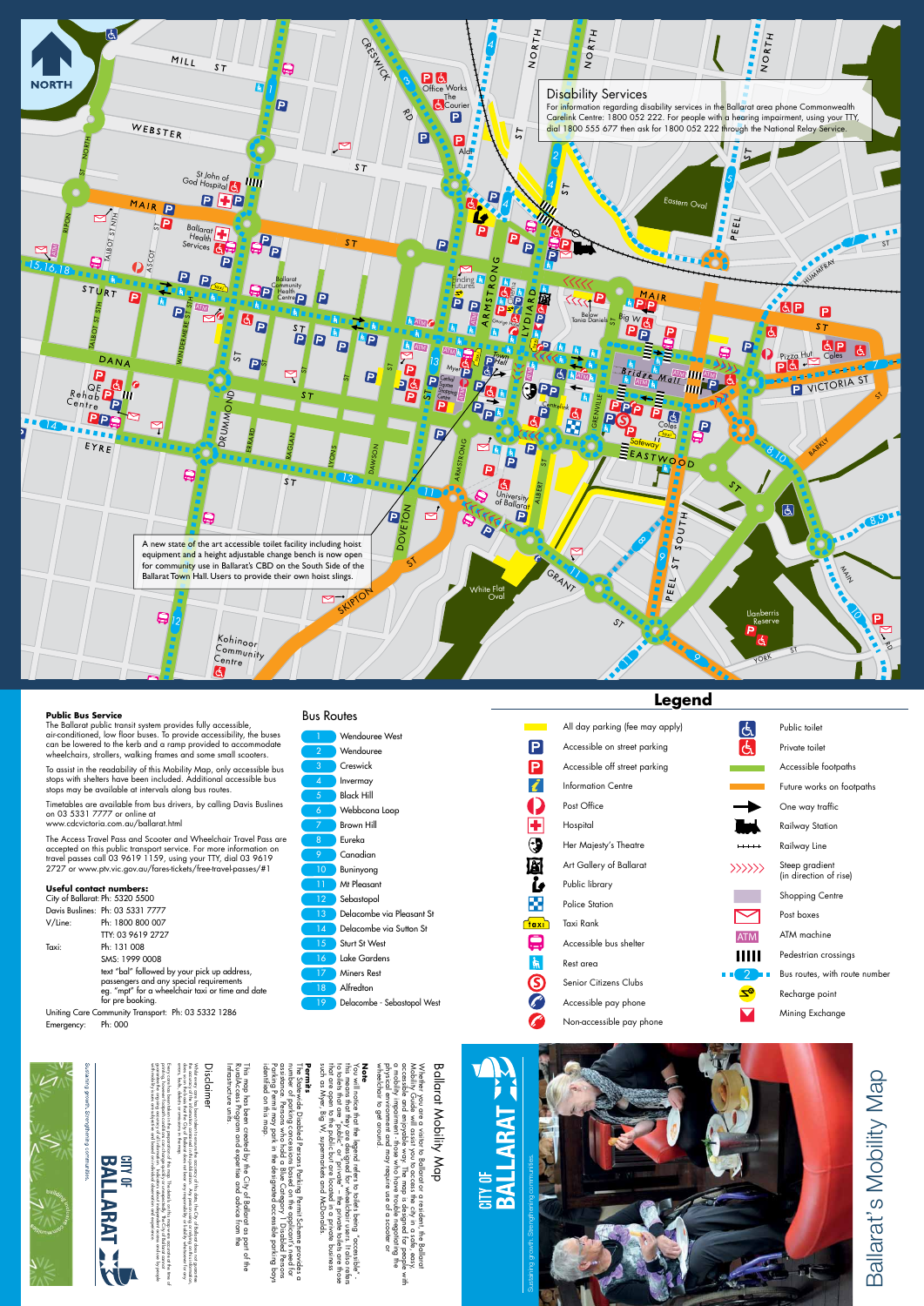

Post Office

Hospital

a sa salawan<br>Mga kalendar

 $\mathsf{P}$ 

 $\mathsf{P}$ 

 $\boldsymbol{\dot{\ell}}$ 

 $\blacksquare$ 

 $\bigodot$ 

圆

 $\mathbf{\hat{b}}$ 

×

<mark>ີ†αxi</mark>້

 $\boldsymbol{\Box}$ 

 $\frac{1}{\mathcal{H}}$ 

S

 $\mathscr{L}$ 

 $\mathcal{L}$ 



Public library

Police Station

Taxi Rank

errors, faults, defects or omissions in the map. does so on the basis that the City of Ballarat does not bear any responsibility or liability whatsoever for any the accuracy of the information contained in this publication. Any person using or relying on this information, Whilst every care has been taken to ensure the accuracy of this data, the City of Ballarat does not guarantee st every care has been taken tr<br>ccuracy of the information con<br>so on the basis that the City o<br>s, fauls, defects or omissions i ontained<br>of Ballar<br>s in the m re the accuracy of this data, the City of Ballarat does not guarantee<br>I in this publication. Any person using or relying on this information<br>mat does not bear any responsibility or liability whatsoever for any

Rest area

with mobility issues are subjective and based on individual observation and experience.

This map has been created by the City of Ballarat as part of the  $\mathbf{\mathcal{S}}$  $\frac{1}{\overline{6}}$ s part of the<br>1 the

This map has been cre<br>RuralAccess Program c<br>Infrastructure units. Infrastructure units. RuralAccess Program and expertise and advice from the reated<br>and e expertise ority of<br>se and a of Ballarat as<br>I advice from

identified on this map. Parking Permit may park in the designated accessible parking bays assistance. Persons who hold a Blue Category 1 Disabled Persons number of parking concessions based on the applicant's need for The Statewide Disabled Persons Parking Permit Scheme provides c<br>umber of parking concessions based on the applicant's need for<br>ussistance. Persons who hold a Blue Category 1 Disabled Persons<br>'arking Permit may park in the pays suus  $\Omega$ 

printing, however footpath conditions can change quickly or unexpectedly. The City of Ballarat cannot

guarantee the ongoing accuracy of all information. Indicators about independent access and use by people Every care has been taken in the preparation of this map. The details on this map were accurate at the time of

this map were accurate at the t<br>y. The City of Ballarat cannot<br>pendent access and use by pe<br>al curreriences

**CITY OF** 

BAL

ARAT

n of this map. The details on this<br>cange quickly or unexpectedly. Th<br>mation. Indicators about indeper<br>al on individual observation and «

such as Myer, Big W, supermarkets and McDonalds. that are open to the public but are located in a private business to toilets that are "public" or "private" – the private toilets are those this means that they are designed for wheelchair users. It also refers You will notice that the legend refers to toilets being "accessible" - **Note**<br>You will notice that the legend refers to toilets being "accessible" -<br>this means that they are designed for wheelchair users. It also refers<br>to toilets that are "public" or "private" – the private toilets are those such S

# **Ballarat Mobility Map** Ballarat Mobility Map

Whether you are a visitor to Ballarat or a resident, the Ballarat<br>Mobility Guide will assist you to access the city in a safe, easy,<br>accessible and enjoyable way. The map is designed for people<br>a mobility impairment - thos wheelchair to get around. physical environment and may require use of a scooter or a mobility impairment - those who have trouble negotiating the accessible and enjoyable way. The map is designed for people with Mobility Guide will assist you to access the city in a safe, easy, Whether you are a visitor to Ballarat or a resident, the Ballarat easy<br>People<br>g the with

# Disclaimer

# The Statewide Disabled Persons Parking Permit Scheme provides a



# **Public Bus Service**

The Ballarat public transit system provides fully accessible, air-conditioned, low floor buses. To provide accessibility, the buses can be lowered to the kerb and a ramp provided to accommodate wheelchairs, strollers, walking frames and some small scooters.

To assist in the readability of this Mobility Map, only accessible bus stops with shelters have been included. Additional accessible bus stops may be available at intervals along bus routes.

Timetables are available from bus drivers, by calling Davis Buslines on 03 5331 7777 or online at www.cdcvictoria.com.au/ballarat.html

The Access Travel Pass and Scooter and Wheelchair Travel Pass are accepted on this public transport service. For more information on travel passes call 03 9619 1159, using your TTY, dial 03 9619 2727 or www.ptv.vic.gov.au/fares-tickets/free-travel-passes/#1

# **Useful contact numbers:**

City of Ballarat: Ph: 5320 5500 Davis Buslines: Ph: 03 5331 7777 V/Line: Ph: 1800 800 007 TTY: 03 9619 2727 Taxi: Ph: 131 008 SMS: 1999 0008

text "bal" followed by your pick up address, passengers and any special requirements eg. "mpt" for a wheelchair taxi or time and date for pre booking.

Uniting Care Community Transport: Ph: 03 5332 1286 Emergency: Ph: 000

![](_page_0_Picture_11.jpeg)

# Bus Routes

![](_page_0_Figure_13.jpeg)

![](_page_0_Picture_16.jpeg)

Ballarat's Mobility Map

Ballarat's Mobility Map